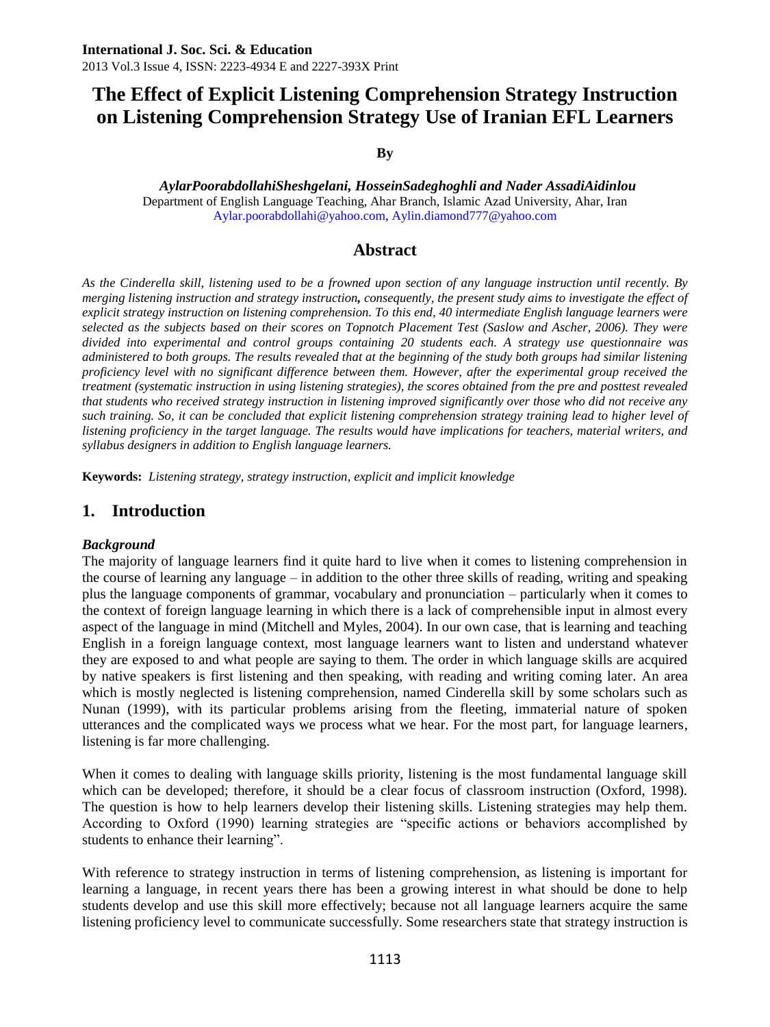**By**

*AylarPoorabdollahiSheshgelani, HosseinSadeghoghli and Nader AssadiAidinlou* Department of English Language Teaching, Ahar Branch, Islamic Azad University, Ahar, Iran [Aylar.poorabdollahi@yahoo.com,](mailto:Aylar.poorabdollahi@yahoo.com) [Aylin.diamond777@yahoo.com](mailto:Aylin.diamond777@yahoo.com)

### **Abstract**

*As the Cinderella skill, listening used to be a frowned upon section of any language instruction until recently. By merging listening instruction and strategy instruction, consequently, the present study aims to investigate the effect of explicit strategy instruction on listening comprehension. To this end, 40 intermediate English language learners were selected as the subjects based on their scores on Topnotch Placement Test (Saslow and Ascher, 2006). They were divided into experimental and control groups containing 20 students each. A strategy use questionnaire was administered to both groups. The results revealed that at the beginning of the study both groups had similar listening proficiency level with no significant difference between them. However, after the experimental group received the treatment (systematic instruction in using listening strategies), the scores obtained from the pre and posttest revealed that students who received strategy instruction in listening improved significantly over those who did not receive any such training. So, it can be concluded that explicit listening comprehension strategy training lead to higher level of listening proficiency in the target language. The results would have implications for teachers, material writers, and syllabus designers in addition to English language learners.* 

**Keywords:** *Listening strategy, strategy instruction, explicit and implicit knowledge*

### **1. Introduction**

#### *Background*

The majority of language learners find it quite hard to live when it comes to listening comprehension in the course of learning any language – in addition to the other three skills of reading, writing and speaking plus the language components of grammar, vocabulary and pronunciation – particularly when it comes to the context of foreign language learning in which there is a lack of comprehensible input in almost every aspect of the language in mind (Mitchell and Myles, 2004). In our own case, that is learning and teaching English in a foreign language context, most language learners want to listen and understand whatever they are exposed to and what people are saying to them. The order in which language skills are acquired by native speakers is first listening and then speaking, with reading and writing coming later. An area which is mostly neglected is listening comprehension, named Cinderella skill by some scholars such as Nunan (1999), with its particular problems arising from the fleeting, immaterial nature of spoken utterances and the complicated ways we process what we hear. For the most part, for language learners, listening is far more challenging.

When it comes to dealing with language skills priority, listening is the most fundamental language skill which can be developed; therefore, it should be a clear focus of classroom instruction (Oxford, 1998). The question is how to help learners develop their listening skills. Listening strategies may help them. According to Oxford (1990) learning strategies are "specific actions or behaviors accomplished by students to enhance their learning".

With reference to strategy instruction in terms of listening comprehension, as listening is important for learning a language, in recent years there has been a growing interest in what should be done to help students develop and use this skill more effectively; because not all language learners acquire the same listening proficiency level to communicate successfully. Some researchers state that strategy instruction is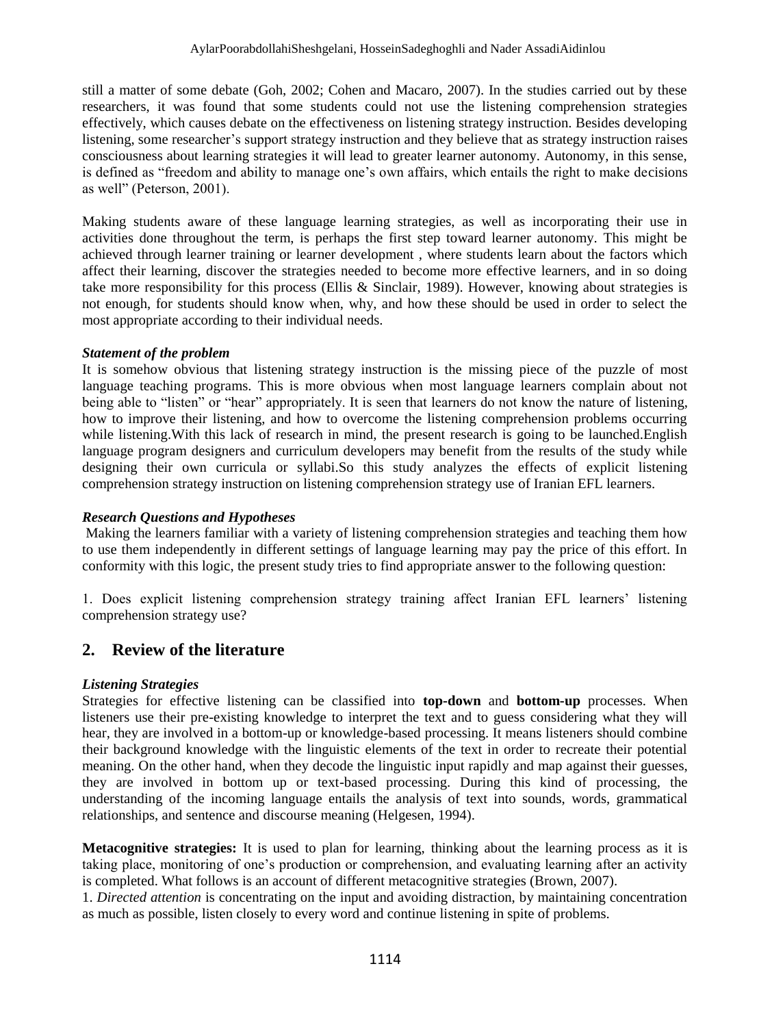still a matter of some debate (Goh, 2002; Cohen and Macaro, 2007). In the studies carried out by these researchers, it was found that some students could not use the listening comprehension strategies effectively, which causes debate on the effectiveness on listening strategy instruction. Besides developing listening, some researcher's support strategy instruction and they believe that as strategy instruction raises consciousness about learning strategies it will lead to greater learner autonomy. Autonomy, in this sense, is defined as "freedom and ability to manage one's own affairs, which entails the right to make decisions as well" (Peterson, 2001).

Making students aware of these language learning strategies, as well as incorporating their use in activities done throughout the term, is perhaps the first step toward learner autonomy. This might be achieved through learner training or learner development , where students learn about the factors which affect their learning, discover the strategies needed to become more effective learners, and in so doing take more responsibility for this process (Ellis  $\&$  Sinclair, 1989). However, knowing about strategies is not enough, for students should know when, why, and how these should be used in order to select the most appropriate according to their individual needs.

#### *Statement of the problem*

It is somehow obvious that listening strategy instruction is the missing piece of the puzzle of most language teaching programs. This is more obvious when most language learners complain about not being able to "listen" or "hear" appropriately. It is seen that learners do not know the nature of listening, how to improve their listening, and how to overcome the listening comprehension problems occurring while listening. With this lack of research in mind, the present research is going to be launched. English language program designers and curriculum developers may benefit from the results of the study while designing their own curricula or syllabi.So this study analyzes the effects of explicit listening comprehension strategy instruction on listening comprehension strategy use of Iranian EFL learners.

#### *Research Questions and Hypotheses*

Making the learners familiar with a variety of listening comprehension strategies and teaching them how to use them independently in different settings of language learning may pay the price of this effort. In conformity with this logic, the present study tries to find appropriate answer to the following question:

1. Does explicit listening comprehension strategy training affect Iranian EFL learners' listening comprehension strategy use?

### **2. Review of the literature**

#### *Listening Strategies*

Strategies for effective listening can be classified into **top-down** and **bottom-up** processes. When listeners use their pre-existing knowledge to interpret the text and to guess considering what they will hear, they are involved in a bottom-up or knowledge-based processing. It means listeners should combine their background knowledge with the linguistic elements of the text in order to recreate their potential meaning. On the other hand, when they decode the linguistic input rapidly and map against their guesses, they are involved in bottom up or text-based processing. During this kind of processing, the understanding of the incoming language entails the analysis of text into sounds, words, grammatical relationships, and sentence and discourse meaning (Helgesen, 1994).

**Metacognitive strategies:** It is used to plan for learning, thinking about the learning process as it is taking place, monitoring of one's production or comprehension, and evaluating learning after an activity is completed. What follows is an account of different metacognitive strategies (Brown, 2007).

1. *Directed attention* is concentrating on the input and avoiding distraction, by maintaining concentration as much as possible, listen closely to every word and continue listening in spite of problems.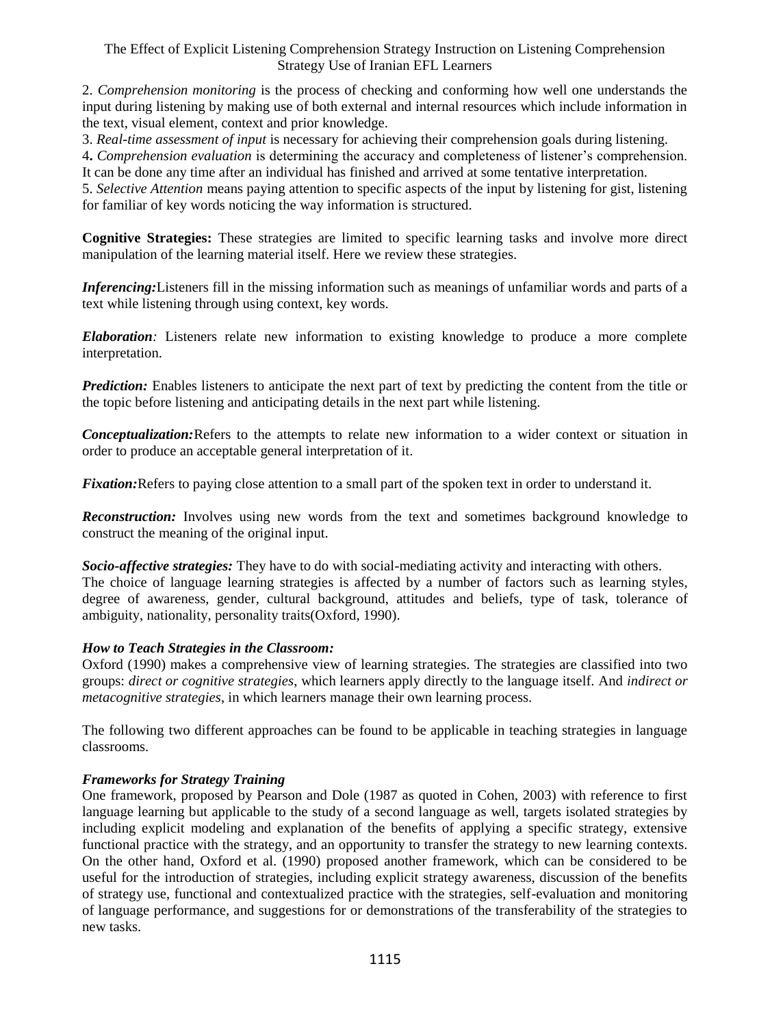2. *Comprehension monitoring* is the process of checking and conforming how well one understands the input during listening by making use of both external and internal resources which include information in the text, visual element, context and prior knowledge.

3. *Real-time assessment of input* is necessary for achieving their comprehension goals during listening.

4**.** *Comprehension evaluation* is determining the accuracy and completeness of listener's comprehension. It can be done any time after an individual has finished and arrived at some tentative interpretation.

5. *Selective Attention* means paying attention to specific aspects of the input by listening for gist, listening for familiar of key words noticing the way information is structured.

**Cognitive Strategies:** These strategies are limited to specific learning tasks and involve more direct manipulation of the learning material itself. Here we review these strategies.

*Inferencing:*Listeners fill in the missing information such as meanings of unfamiliar words and parts of a text while listening through using context, key words.

*Elaboration:* Listeners relate new information to existing knowledge to produce a more complete interpretation.

*Prediction:* Enables listeners to anticipate the next part of text by predicting the content from the title or the topic before listening and anticipating details in the next part while listening.

*Conceptualization:*Refers to the attempts to relate new information to a wider context or situation in order to produce an acceptable general interpretation of it.

*Fixation:*Refers to paying close attention to a small part of the spoken text in order to understand it.

*Reconstruction:* Involves using new words from the text and sometimes background knowledge to construct the meaning of the original input.

*Socio-affective strategies:* They have to do with social-mediating activity and interacting with others. The choice of language learning strategies is affected by a number of factors such as learning styles, degree of awareness, gender, cultural background, attitudes and beliefs, type of task, tolerance of ambiguity, nationality, personality traits(Oxford, 1990).

#### *How to Teach Strategies in the Classroom:*

Oxford (1990) makes a comprehensive view of learning strategies. The strategies are classified into two groups: *direct or cognitive strategies*, which learners apply directly to the language itself. And *indirect or metacognitive strategies*, in which learners manage their own learning process.

The following two different approaches can be found to be applicable in teaching strategies in language classrooms.

#### *Frameworks for Strategy Training*

One framework, proposed by Pearson and Dole (1987 as quoted in Cohen, 2003) with reference to first language learning but applicable to the study of a second language as well, targets isolated strategies by including explicit modeling and explanation of the benefits of applying a specific strategy, extensive functional practice with the strategy, and an opportunity to transfer the strategy to new learning contexts. On the other hand, Oxford et al. (1990) proposed another framework, which can be considered to be useful for the introduction of strategies, including explicit strategy awareness, discussion of the benefits of strategy use, functional and contextualized practice with the strategies, self-evaluation and monitoring of language performance, and suggestions for or demonstrations of the transferability of the strategies to new tasks.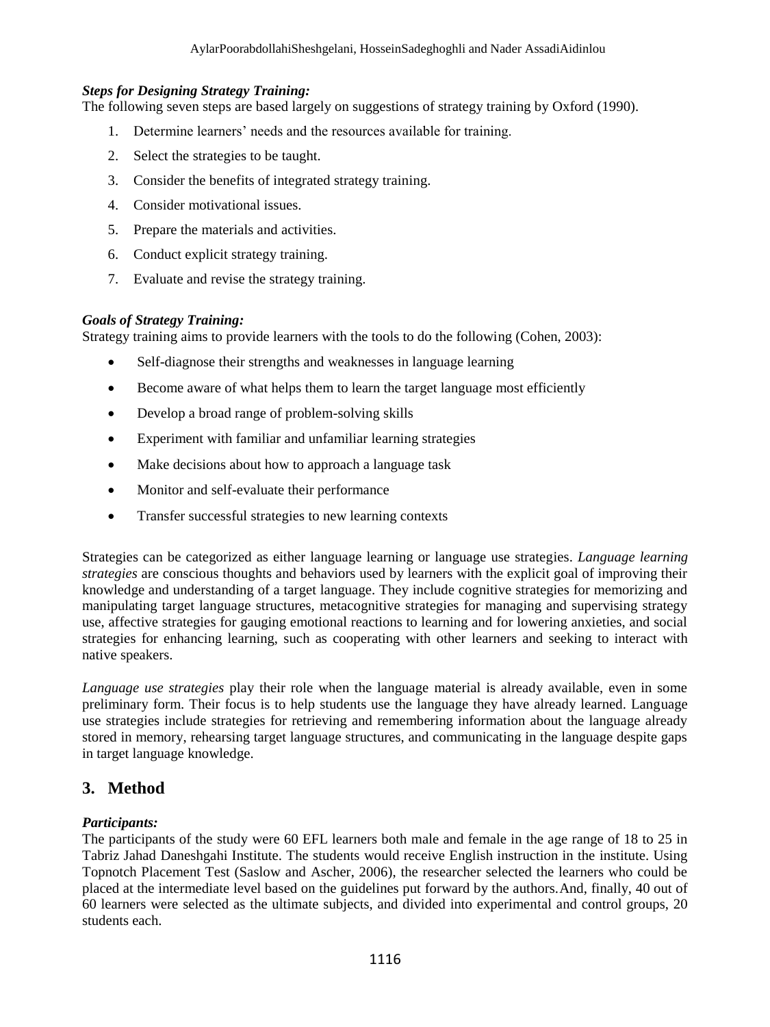#### *Steps for Designing Strategy Training:*

The following seven steps are based largely on suggestions of strategy training by Oxford (1990).

- 1. Determine learners' needs and the resources available for training.
- 2. Select the strategies to be taught.
- 3. Consider the benefits of integrated strategy training.
- 4. Consider motivational issues.
- 5. Prepare the materials and activities.
- 6. Conduct explicit strategy training.
- 7. Evaluate and revise the strategy training.

#### *Goals of Strategy Training:*

Strategy training aims to provide learners with the tools to do the following (Cohen, 2003):

- Self-diagnose their strengths and weaknesses in language learning
- Become aware of what helps them to learn the target language most efficiently
- Develop a broad range of problem-solving skills
- Experiment with familiar and unfamiliar learning strategies
- Make decisions about how to approach a language task
- Monitor and self-evaluate their performance
- Transfer successful strategies to new learning contexts

Strategies can be categorized as either language learning or language use strategies. *Language learning strategies* are conscious thoughts and behaviors used by learners with the explicit goal of improving their knowledge and understanding of a target language. They include cognitive strategies for memorizing and manipulating target language structures, metacognitive strategies for managing and supervising strategy use, affective strategies for gauging emotional reactions to learning and for lowering anxieties, and social strategies for enhancing learning, such as cooperating with other learners and seeking to interact with native speakers.

*Language use strategies* play their role when the language material is already available, even in some preliminary form. Their focus is to help students use the language they have already learned. Language use strategies include strategies for retrieving and remembering information about the language already stored in memory, rehearsing target language structures, and communicating in the language despite gaps in target language knowledge.

### **3. Method**

#### *Participants:*

The participants of the study were 60 EFL learners both male and female in the age range of 18 to 25 in Tabriz Jahad Daneshgahi Institute. The students would receive English instruction in the institute. Using Topnotch Placement Test (Saslow and Ascher, 2006), the researcher selected the learners who could be placed at the intermediate level based on the guidelines put forward by the authors.And, finally, 40 out of 60 learners were selected as the ultimate subjects, and divided into experimental and control groups, 20 students each.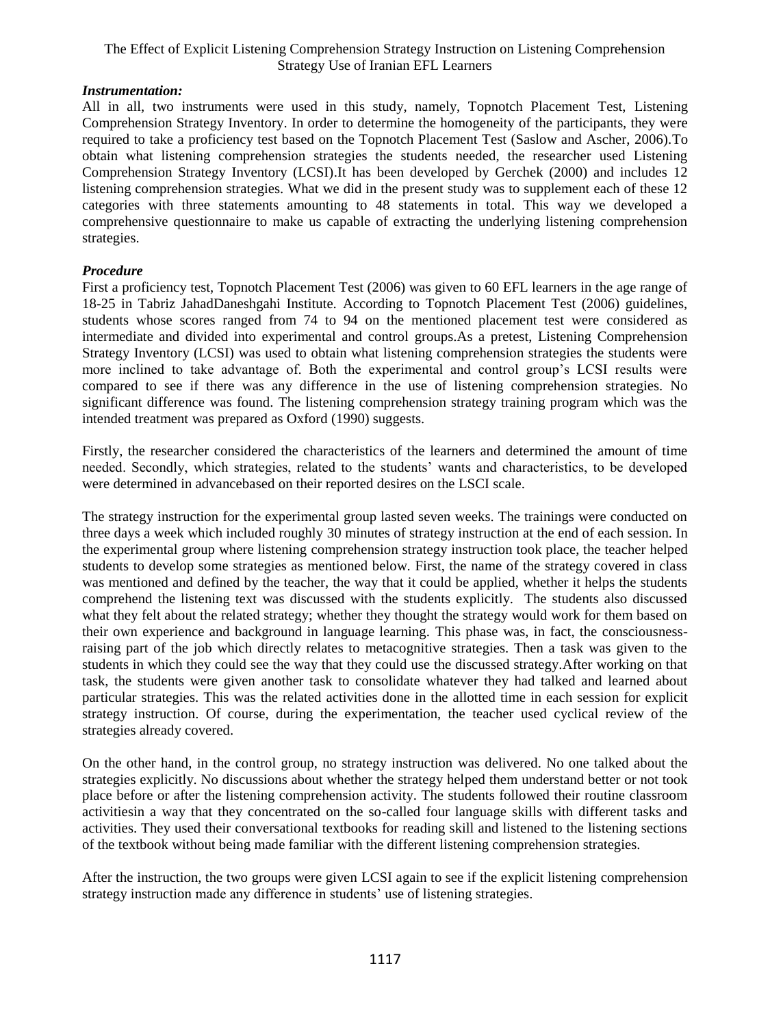#### *Instrumentation:*

All in all, two instruments were used in this study, namely, Topnotch Placement Test, Listening Comprehension Strategy Inventory. In order to determine the homogeneity of the participants, they were required to take a proficiency test based on the Topnotch Placement Test (Saslow and Ascher, 2006).To obtain what listening comprehension strategies the students needed, the researcher used Listening Comprehension Strategy Inventory (LCSI).It has been developed by Gerchek (2000) and includes 12 listening comprehension strategies. What we did in the present study was to supplement each of these 12 categories with three statements amounting to 48 statements in total. This way we developed a comprehensive questionnaire to make us capable of extracting the underlying listening comprehension strategies.

#### *Procedure*

First a proficiency test, Topnotch Placement Test (2006) was given to 60 EFL learners in the age range of 18-25 in Tabriz JahadDaneshgahi Institute. According to Topnotch Placement Test (2006) guidelines, students whose scores ranged from 74 to 94 on the mentioned placement test were considered as intermediate and divided into experimental and control groups.As a pretest, Listening Comprehension Strategy Inventory (LCSI) was used to obtain what listening comprehension strategies the students were more inclined to take advantage of. Both the experimental and control group's LCSI results were compared to see if there was any difference in the use of listening comprehension strategies. No significant difference was found. The listening comprehension strategy training program which was the intended treatment was prepared as Oxford (1990) suggests.

Firstly, the researcher considered the characteristics of the learners and determined the amount of time needed. Secondly, which strategies, related to the students' wants and characteristics, to be developed were determined in advancebased on their reported desires on the LSCI scale.

The strategy instruction for the experimental group lasted seven weeks. The trainings were conducted on three days a week which included roughly 30 minutes of strategy instruction at the end of each session. In the experimental group where listening comprehension strategy instruction took place, the teacher helped students to develop some strategies as mentioned below. First, the name of the strategy covered in class was mentioned and defined by the teacher, the way that it could be applied, whether it helps the students comprehend the listening text was discussed with the students explicitly. The students also discussed what they felt about the related strategy; whether they thought the strategy would work for them based on their own experience and background in language learning. This phase was, in fact, the consciousnessraising part of the job which directly relates to metacognitive strategies. Then a task was given to the students in which they could see the way that they could use the discussed strategy.After working on that task, the students were given another task to consolidate whatever they had talked and learned about particular strategies. This was the related activities done in the allotted time in each session for explicit strategy instruction. Of course, during the experimentation, the teacher used cyclical review of the strategies already covered.

On the other hand, in the control group, no strategy instruction was delivered. No one talked about the strategies explicitly. No discussions about whether the strategy helped them understand better or not took place before or after the listening comprehension activity. The students followed their routine classroom activitiesin a way that they concentrated on the so-called four language skills with different tasks and activities. They used their conversational textbooks for reading skill and listened to the listening sections of the textbook without being made familiar with the different listening comprehension strategies.

After the instruction, the two groups were given LCSI again to see if the explicit listening comprehension strategy instruction made any difference in students' use of listening strategies.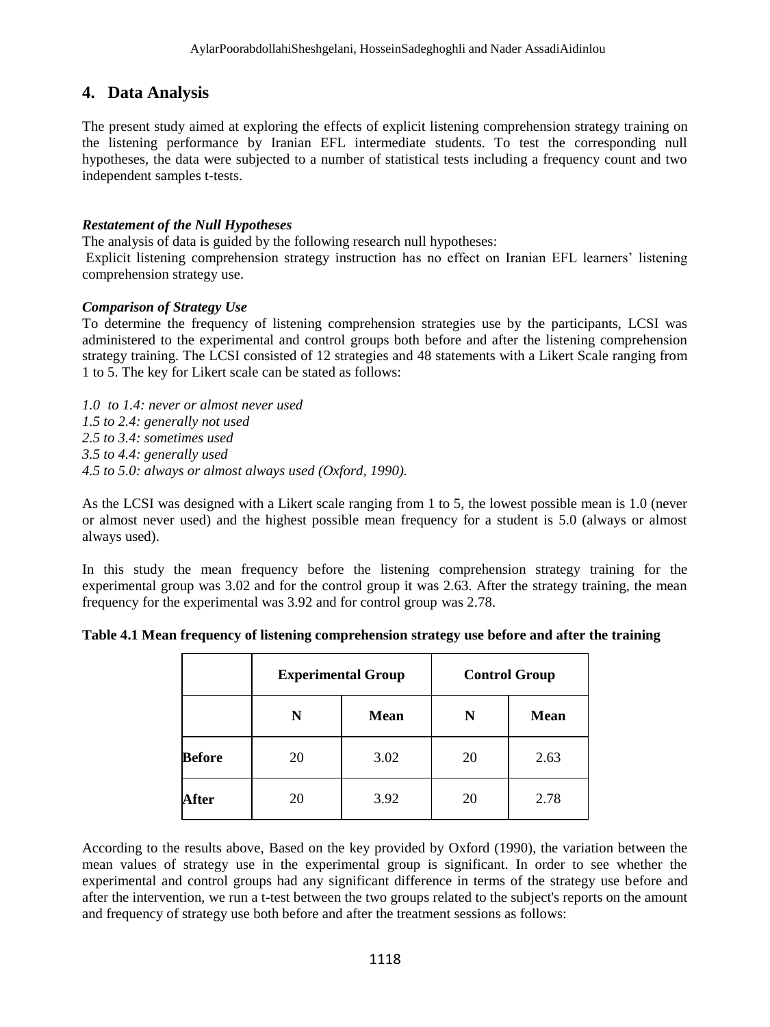### **4. Data Analysis**

The present study aimed at exploring the effects of explicit listening comprehension strategy training on the listening performance by Iranian EFL intermediate students. To test the corresponding null hypotheses, the data were subjected to a number of statistical tests including a frequency count and two independent samples t-tests.

#### *Restatement of the Null Hypotheses*

The analysis of data is guided by the following research null hypotheses:

Explicit listening comprehension strategy instruction has no effect on Iranian EFL learners' listening comprehension strategy use.

#### *Comparison of Strategy Use*

To determine the frequency of listening comprehension strategies use by the participants, LCSI was administered to the experimental and control groups both before and after the listening comprehension strategy training. The LCSI consisted of 12 strategies and 48 statements with a Likert Scale ranging from 1 to 5. The key for Likert scale can be stated as follows:

*1.0 to 1.4: never or almost never used 1.5 to 2.4: generally not used 2.5 to 3.4: sometimes used 3.5 to 4.4: generally used 4.5 to 5.0: always or almost always used (Oxford, 1990).*

As the LCSI was designed with a Likert scale ranging from 1 to 5, the lowest possible mean is 1.0 (never or almost never used) and the highest possible mean frequency for a student is 5.0 (always or almost always used).

In this study the mean frequency before the listening comprehension strategy training for the experimental group was 3.02 and for the control group it was 2.63. After the strategy training, the mean frequency for the experimental was 3.92 and for control group was 2.78.

|               | <b>Experimental Group</b> |             | <b>Control Group</b> |             |  |  |
|---------------|---------------------------|-------------|----------------------|-------------|--|--|
|               | N                         | <b>Mean</b> | N                    | <b>Mean</b> |  |  |
| <b>Before</b> | 20                        | 3.02        | 20                   | 2.63        |  |  |
| After         | 20                        | 3.92        | 20                   | 2.78        |  |  |

#### **Table 4.1 Mean frequency of listening comprehension strategy use before and after the training**

According to the results above, Based on the key provided by Oxford (1990), the variation between the mean values of strategy use in the experimental group is significant. In order to see whether the experimental and control groups had any significant difference in terms of the strategy use before and after the intervention, we run a t-test between the two groups related to the subject's reports on the amount and frequency of strategy use both before and after the treatment sessions as follows: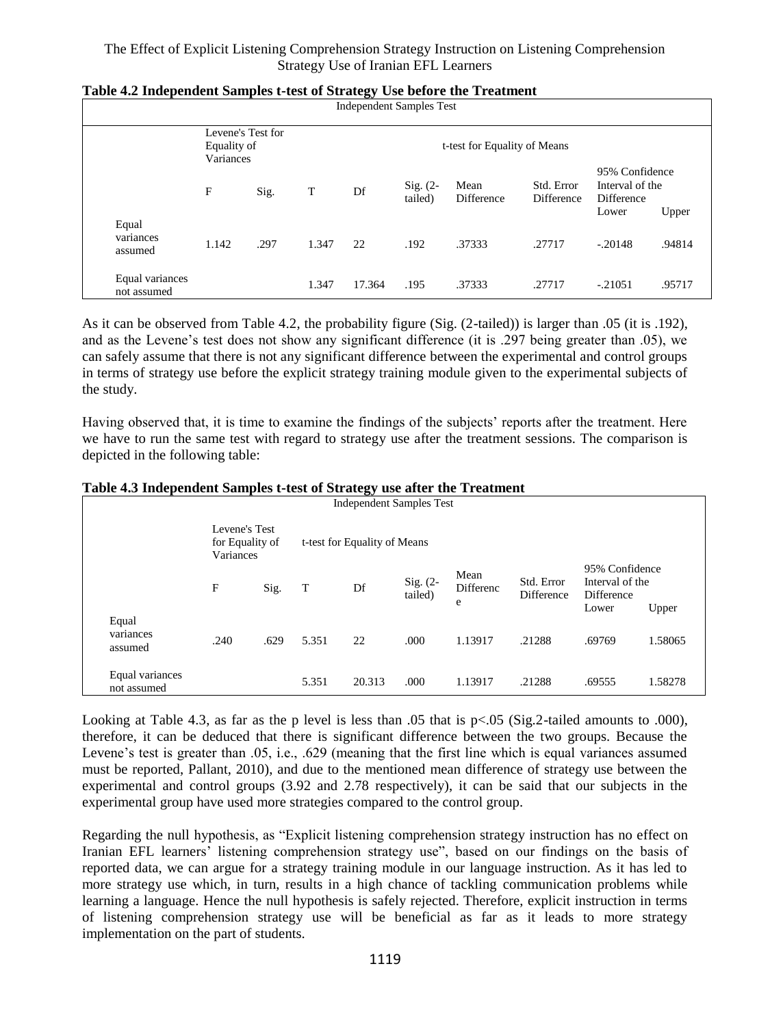|                                | Equality of<br>Variances | Levene's Test for |       | <b>Independent Samples Test</b><br>t-test for Equality of Means |                       |                    |                                 |                                                 |                 |
|--------------------------------|--------------------------|-------------------|-------|-----------------------------------------------------------------|-----------------------|--------------------|---------------------------------|-------------------------------------------------|-----------------|
|                                | F                        | Sig.              | T     | Df                                                              | $Sig. (2-$<br>tailed) | Mean<br>Difference | Std. Error<br><b>Difference</b> | 95% Confidence<br>Interval of the<br>Difference |                 |
| Equal<br>variances<br>assumed  | 1.142                    | .297              | 1.347 | 22                                                              | .192                  | .37333             | .27717                          | Lower<br>$-.20148$                              | Upper<br>.94814 |
| Equal variances<br>not assumed |                          |                   | 1.347 | 17.364                                                          | .195                  | .37333             | .27717                          | $-.21051$                                       | .95717          |

#### **Table 4.2 Independent Samples t-test of Strategy Use before the Treatment**

As it can be observed from Table 4.2, the probability figure (Sig. (2-tailed)) is larger than .05 (it is .192), and as the Levene's test does not show any significant difference (it is .297 being greater than .05), we can safely assume that there is not any significant difference between the experimental and control groups in terms of strategy use before the explicit strategy training module given to the experimental subjects of the study.

Having observed that, it is time to examine the findings of the subjects' reports after the treatment. Here we have to run the same test with regard to strategy use after the treatment sessions. The comparison is depicted in the following table:

| Independent Samples Test       |                                               |      |                              |        |                     |                               |                          |                                                                 |         |
|--------------------------------|-----------------------------------------------|------|------------------------------|--------|---------------------|-------------------------------|--------------------------|-----------------------------------------------------------------|---------|
|                                | Levene's Test<br>for Equality of<br>Variances |      | t-test for Equality of Means |        |                     |                               |                          |                                                                 |         |
|                                | F                                             | Sig. | T                            | Df     | Sig. (2-<br>tailed) | Mean<br><b>Differenc</b><br>e | Std. Error<br>Difference | 95% Confidence<br>Interval of the<br><b>Difference</b><br>Lower | Upper   |
| Equal<br>variances<br>assumed  | .240                                          | .629 | 5.351                        | 22     | .000                | 1.13917                       | .21288                   | .69769                                                          | 1.58065 |
| Equal variances<br>not assumed |                                               |      | 5.351                        | 20.313 | .000                | 1.13917                       | .21288                   | .69555                                                          | 1.58278 |

#### **Table 4.3 Independent Samples t-test of Strategy use after the Treatment**

Looking at Table 4.3, as far as the p level is less than .05 that is  $p<.05$  (Sig.2-tailed amounts to .000), therefore, it can be deduced that there is significant difference between the two groups. Because the Levene's test is greater than .05, i.e., .629 (meaning that the first line which is equal variances assumed must be reported, Pallant, 2010), and due to the mentioned mean difference of strategy use between the experimental and control groups (3.92 and 2.78 respectively), it can be said that our subjects in the experimental group have used more strategies compared to the control group.

Regarding the null hypothesis, as "Explicit listening comprehension strategy instruction has no effect on Iranian EFL learners' listening comprehension strategy use", based on our findings on the basis of reported data, we can argue for a strategy training module in our language instruction. As it has led to more strategy use which, in turn, results in a high chance of tackling communication problems while learning a language. Hence the null hypothesis is safely rejected. Therefore, explicit instruction in terms of listening comprehension strategy use will be beneficial as far as it leads to more strategy implementation on the part of students.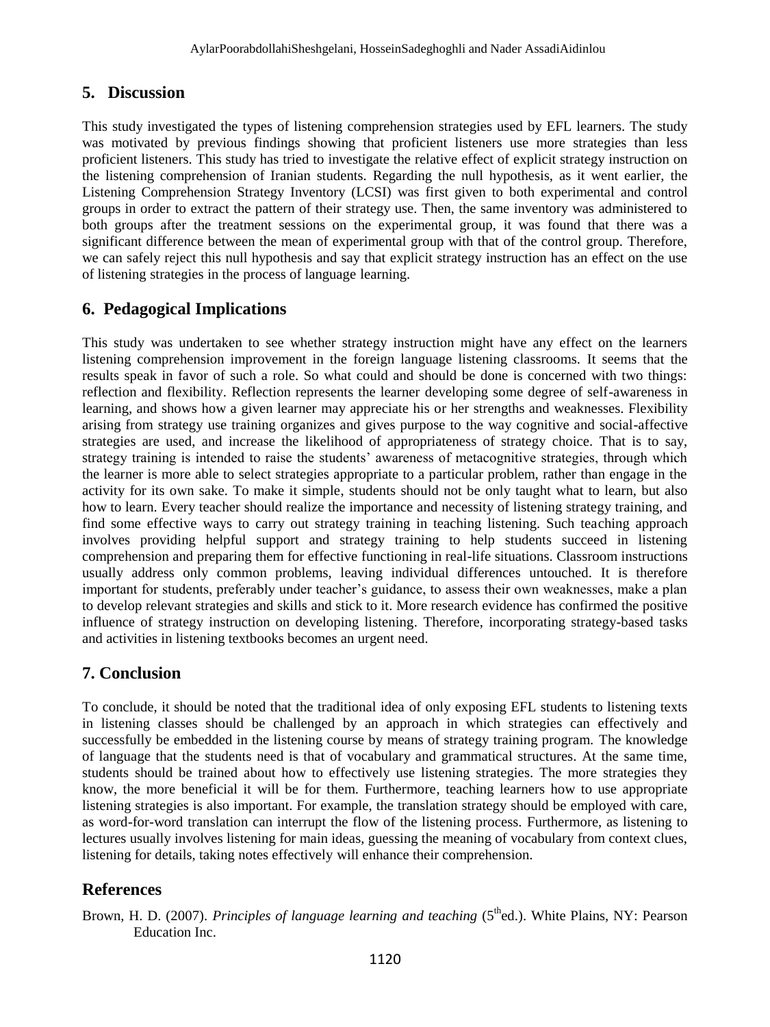## **5. Discussion**

This study investigated the types of listening comprehension strategies used by EFL learners. The study was motivated by previous findings showing that proficient listeners use more strategies than less proficient listeners. This study has tried to investigate the relative effect of explicit strategy instruction on the listening comprehension of Iranian students. Regarding the null hypothesis, as it went earlier, the Listening Comprehension Strategy Inventory (LCSI) was first given to both experimental and control groups in order to extract the pattern of their strategy use. Then, the same inventory was administered to both groups after the treatment sessions on the experimental group, it was found that there was a significant difference between the mean of experimental group with that of the control group. Therefore, we can safely reject this null hypothesis and say that explicit strategy instruction has an effect on the use of listening strategies in the process of language learning.

## **6. Pedagogical Implications**

This study was undertaken to see whether strategy instruction might have any effect on the learners listening comprehension improvement in the foreign language listening classrooms. It seems that the results speak in favor of such a role. So what could and should be done is concerned with two things: reflection and flexibility. Reflection represents the learner developing some degree of self-awareness in learning, and shows how a given learner may appreciate his or her strengths and weaknesses. Flexibility arising from strategy use training organizes and gives purpose to the way cognitive and social-affective strategies are used, and increase the likelihood of appropriateness of strategy choice. That is to say, strategy training is intended to raise the students' awareness of metacognitive strategies, through which the learner is more able to select strategies appropriate to a particular problem, rather than engage in the activity for its own sake. To make it simple, students should not be only taught what to learn, but also how to learn. Every teacher should realize the importance and necessity of listening strategy training, and find some effective ways to carry out strategy training in teaching listening. Such teaching approach involves providing helpful support and strategy training to help students succeed in listening comprehension and preparing them for effective functioning in real-life situations. Classroom instructions usually address only common problems, leaving individual differences untouched. It is therefore important for students, preferably under teacher's guidance, to assess their own weaknesses, make a plan to develop relevant strategies and skills and stick to it. More research evidence has confirmed the positive influence of strategy instruction on developing listening. Therefore, incorporating strategy-based tasks and activities in listening textbooks becomes an urgent need.

## **7. Conclusion**

To conclude, it should be noted that the traditional idea of only exposing EFL students to listening texts in listening classes should be challenged by an approach in which strategies can effectively and successfully be embedded in the listening course by means of strategy training program. The knowledge of language that the students need is that of vocabulary and grammatical structures. At the same time, students should be trained about how to effectively use listening strategies. The more strategies they know, the more beneficial it will be for them. Furthermore, teaching learners how to use appropriate listening strategies is also important. For example, the translation strategy should be employed with care, as word-for-word translation can interrupt the flow of the listening process. Furthermore, as listening to lectures usually involves listening for main ideas, guessing the meaning of vocabulary from context clues, listening for details, taking notes effectively will enhance their comprehension.

## **References**

Brown, H. D. (2007). *Principles of language learning and teaching* (5<sup>th</sup>ed.). White Plains, NY: Pearson Education Inc.